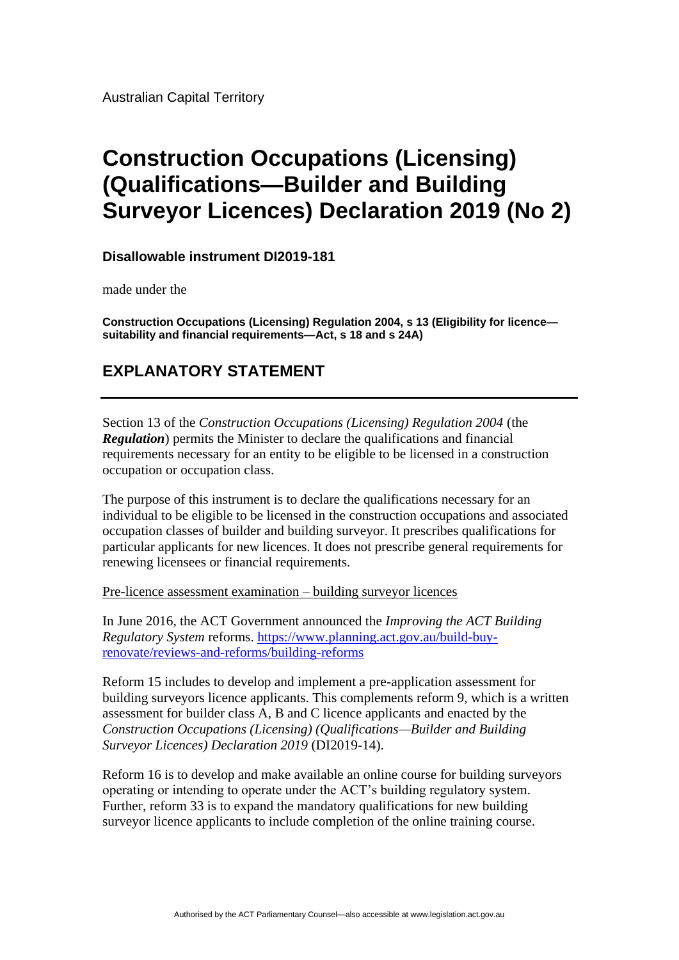Australian Capital Territory

# **Construction Occupations (Licensing) (Qualifications—Builder and Building Surveyor Licences) Declaration 2019 (No 2)**

**Disallowable instrument DI2019-181**

made under the

**Construction Occupations (Licensing) Regulation 2004, s 13 (Eligibility for licence suitability and financial requirements—Act, s 18 and s 24A)**

## **EXPLANATORY STATEMENT**

Section 13 of the *Construction Occupations (Licensing) Regulation 2004* (the *Regulation*) permits the Minister to declare the qualifications and financial requirements necessary for an entity to be eligible to be licensed in a construction occupation or occupation class.

The purpose of this instrument is to declare the qualifications necessary for an individual to be eligible to be licensed in the construction occupations and associated occupation classes of builder and building surveyor. It prescribes qualifications for particular applicants for new licences. It does not prescribe general requirements for renewing licensees or financial requirements.

Pre-licence assessment examination – building surveyor licences

In June 2016, the ACT Government announced the *Improving the ACT Building Regulatory System* reforms. [https://www.planning.act.gov.au/build-buy](https://www.planning.act.gov.au/build-buy-renovate/reviews-and-reforms/building-reforms)[renovate/reviews-and-reforms/building-reforms](https://www.planning.act.gov.au/build-buy-renovate/reviews-and-reforms/building-reforms)

Reform 15 includes to develop and implement a pre-application assessment for building surveyors licence applicants. This complements reform 9, which is a written assessment for builder class A, B and C licence applicants and enacted by the *Construction Occupations (Licensing) (Qualifications—Builder and Building Surveyor Licences) Declaration 2019* (DI2019-14).

Reform 16 is to develop and make available an online course for building surveyors operating or intending to operate under the ACT's building regulatory system. Further, reform 33 is to expand the mandatory qualifications for new building surveyor licence applicants to include completion of the online training course.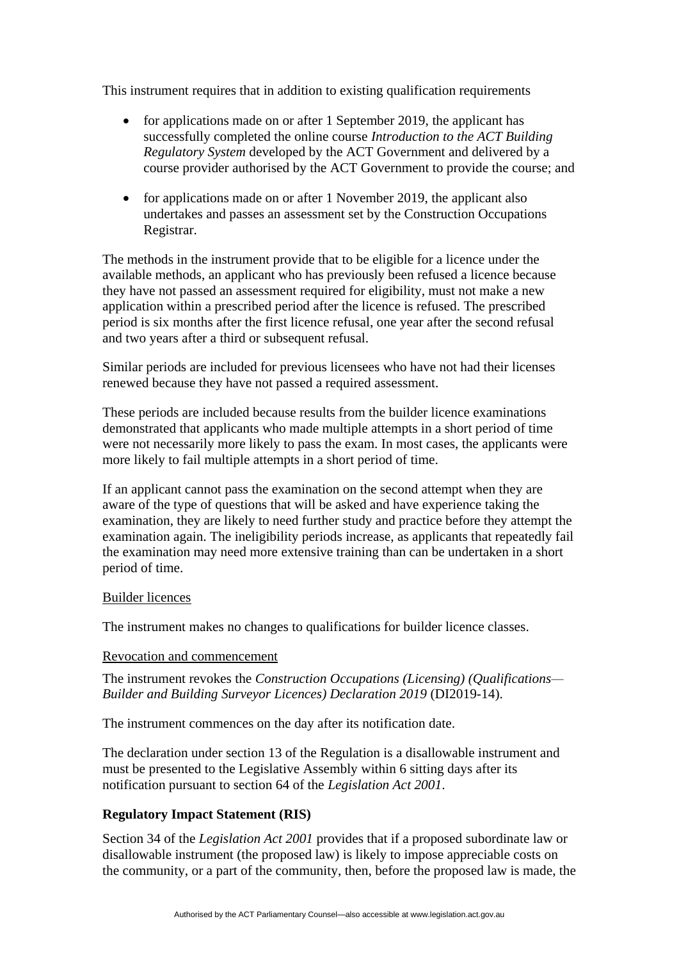This instrument requires that in addition to existing qualification requirements

- for applications made on or after 1 September 2019, the applicant has successfully completed the online course *Introduction to the ACT Building Regulatory System* developed by the ACT Government and delivered by a course provider authorised by the ACT Government to provide the course; and
- for applications made on or after 1 November 2019, the applicant also undertakes and passes an assessment set by the Construction Occupations Registrar.

The methods in the instrument provide that to be eligible for a licence under the available methods, an applicant who has previously been refused a licence because they have not passed an assessment required for eligibility, must not make a new application within a prescribed period after the licence is refused. The prescribed period is six months after the first licence refusal, one year after the second refusal and two years after a third or subsequent refusal.

Similar periods are included for previous licensees who have not had their licenses renewed because they have not passed a required assessment.

These periods are included because results from the builder licence examinations demonstrated that applicants who made multiple attempts in a short period of time were not necessarily more likely to pass the exam. In most cases, the applicants were more likely to fail multiple attempts in a short period of time.

If an applicant cannot pass the examination on the second attempt when they are aware of the type of questions that will be asked and have experience taking the examination, they are likely to need further study and practice before they attempt the examination again. The ineligibility periods increase, as applicants that repeatedly fail the examination may need more extensive training than can be undertaken in a short period of time.

#### Builder licences

The instrument makes no changes to qualifications for builder licence classes.

#### Revocation and commencement

The instrument revokes the *Construction Occupations (Licensing) (Qualifications— Builder and Building Surveyor Licences) Declaration 2019* (DI2019-14).

The instrument commences on the day after its notification date.

The declaration under section 13 of the Regulation is a disallowable instrument and must be presented to the Legislative Assembly within 6 sitting days after its notification pursuant to section 64 of the *Legislation Act 2001*.

### **Regulatory Impact Statement (RIS)**

Section 34 of the *Legislation Act 2001* provides that if a proposed subordinate law or disallowable instrument (the proposed law) is likely to impose appreciable costs on the community, or a part of the community, then, before the proposed law is made, the